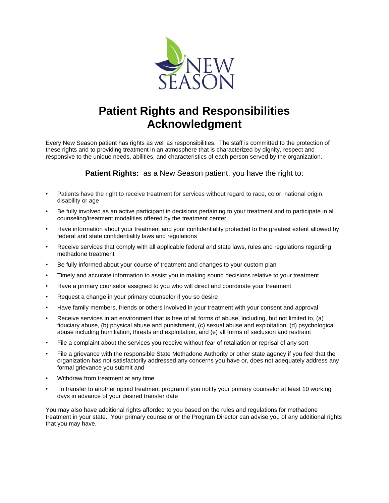

## **Patient Rights and Responsibilities Acknowledgment**

Every New Season patient has rights as well as responsibilities. The staff is committed to the protection of these rights and to providing treatment in an atmosphere that is characterized by dignity, respect and responsive to the unique needs, abilities, and characteristics of each person served by the organization.

**Patient Rights:** as a New Season patient, you have the right to:

- Patients have the right to receive treatment for services without regard to race, color, national origin, disability or age
- Be fully involved as an active participant in decisions pertaining to your treatment and to participate in all counseling/treatment modalities offered by the treatment center
- Have information about your treatment and your confidentiality protected to the greatest extent allowed by federal and state confidentiality laws and regulations
- Receive services that comply with all applicable federal and state laws, rules and regulations regarding methadone treatment
- Be fully informed about your course of treatment and changes to your custom plan
- Timely and accurate information to assist you in making sound decisions relative to your treatment
- Have a primary counselor assigned to you who will direct and coordinate your treatment
- Request a change in your primary counselor if you so desire
- Have family members, friends or others involved in your treatment with your consent and approval
- Receive services in an environment that is free of all forms of abuse, including, but not limited to, (a) fiduciary abuse, (b) physical abuse and punishment, (c) sexual abuse and exploitation, (d) psychological abuse including humiliation, threats and exploitation, and (e) all forms of seclusion and restraint
- File a complaint about the services you receive without fear of retaliation or reprisal of any sort
- File a grievance with the responsible State Methadone Authority or other state agency if you feel that the organization has not satisfactorily addressed any concerns you have or, does not adequately address any formal grievance you submit and
- Withdraw from treatment at any time
- To transfer to another opioid treatment program if you notify your primary counselor at least 10 working days in advance of your desired transfer date

You may also have additional rights afforded to you based on the rules and regulations for methadone treatment in your state. Your primary counselor or the Program Director can advise you of any additional rights that you may have.